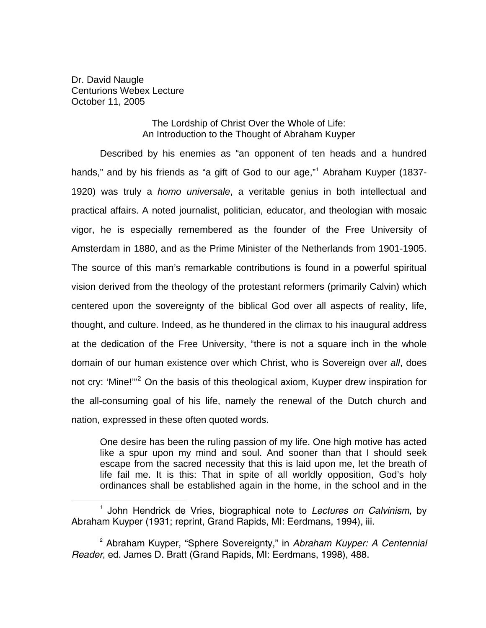Dr. David Naugle Centurions Webex Lecture October 11, 2005

> The Lordship of Christ Over the Whole of Life: An Introduction to the Thought of Abraham Kuyper

Described by his enemies as "an opponent of ten heads and a hundred hands," and by his friends as "a gift of God to our age,"[1](#page-0-0) Abraham Kuyper (1837-1920) was truly a *homo universale*, a veritable genius in both intellectual and practical affairs. A noted journalist, politician, educator, and theologian with mosaic vigor, he is especially remembered as the founder of the Free University of Amsterdam in 1880, and as the Prime Minister of the Netherlands from 1901-1905. The source of this man's remarkable contributions is found in a powerful spiritual vision derived from the theology of the protestant reformers (primarily Calvin) which centered upon the sovereignty of the biblical God over all aspects of reality, life, thought, and culture. Indeed, as he thundered in the climax to his inaugural address at the dedication of the Free University, "there is not a square inch in the whole domain of our human existence over which Christ, who is Sovereign over *all*, does not cry: 'Mine!"<sup>[2](#page-0-1)</sup> On the basis of this theological axiom, Kuyper drew inspiration for the all-consuming goal of his life, namely the renewal of the Dutch church and nation, expressed in these often quoted words.

One desire has been the ruling passion of my life. One high motive has acted like a spur upon my mind and soul. And sooner than that I should seek escape from the sacred necessity that this is laid upon me, let the breath of life fail me. It is this: That in spite of all worldly opposition, God's holy ordinances shall be established again in the home, in the school and in the

<span id="page-0-0"></span> $\frac{1}{1}$ <sup>1</sup> John Hendrick de Vries, biographical note to *Lectures on Calvinism*, by Abraham Kuyper (1931; reprint, Grand Rapids, MI: Eerdmans, 1994), iii.

<span id="page-0-1"></span><sup>2</sup> Abraham Kuyper, "Sphere Sovereignty," in *Abraham Kuyper: A Centennial Reader*, ed. James D. Bratt (Grand Rapids, MI: Eerdmans, 1998), 488.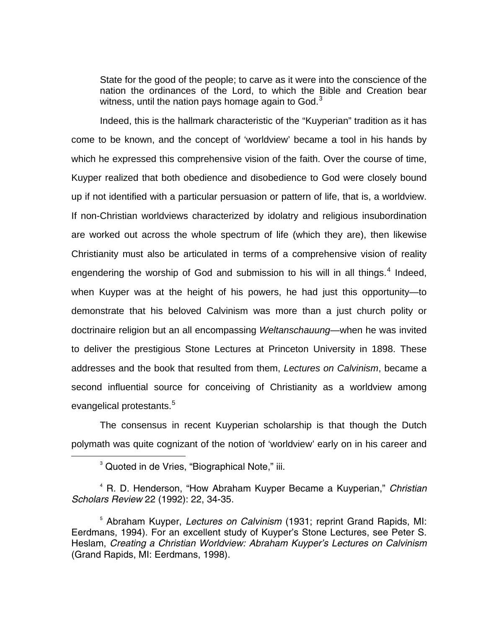State for the good of the people; to carve as it were into the conscience of the nation the ordinances of the Lord, to which the Bible and Creation bear witness, until the nation pays homage again to God.<sup>[3](#page-1-0)</sup>

Indeed, this is the hallmark characteristic of the "Kuyperian" tradition as it has come to be known, and the concept of 'worldview' became a tool in his hands by which he expressed this comprehensive vision of the faith. Over the course of time, Kuyper realized that both obedience and disobedience to God were closely bound up if not identified with a particular persuasion or pattern of life, that is, a worldview. If non-Christian worldviews characterized by idolatry and religious insubordination are worked out across the whole spectrum of life (which they are), then likewise Christianity must also be articulated in terms of a comprehensive vision of reality engendering the worship of God and submission to his will in all things. $4$  Indeed, when Kuyper was at the height of his powers, he had just this opportunity—to demonstrate that his beloved Calvinism was more than a just church polity or doctrinaire religion but an all encompassing *Weltanschauung*—when he was invited to deliver the prestigious Stone Lectures at Princeton University in 1898. These addresses and the book that resulted from them, *Lectures on Calvinism*, became a second influential source for conceiving of Christianity as a worldview among evangelical protestants.<sup>[5](#page-1-2)</sup>

The consensus in recent Kuyperian scholarship is that though the Dutch polymath was quite cognizant of the notion of 'worldview' early on in his career and

<sup>&</sup>lt;sup>3</sup> Quoted in de Vries, "Biographical Note," iii.

<span id="page-1-1"></span><span id="page-1-0"></span><sup>4</sup> R. D. Henderson, "How Abraham Kuyper Became a Kuyperian," *Christian Scholars Review* 22 (1992): 22, 34-35.

<span id="page-1-2"></span><sup>5</sup> Abraham Kuyper, *Lectures on Calvinism* (1931; reprint Grand Rapids, MI: Eerdmans, 1994). For an excellent study of Kuyper's Stone Lectures, see Peter S. Heslam, *Creating a Christian Worldview: Abraham Kuyper's Lectures on Calvinism*  (Grand Rapids, MI: Eerdmans, 1998).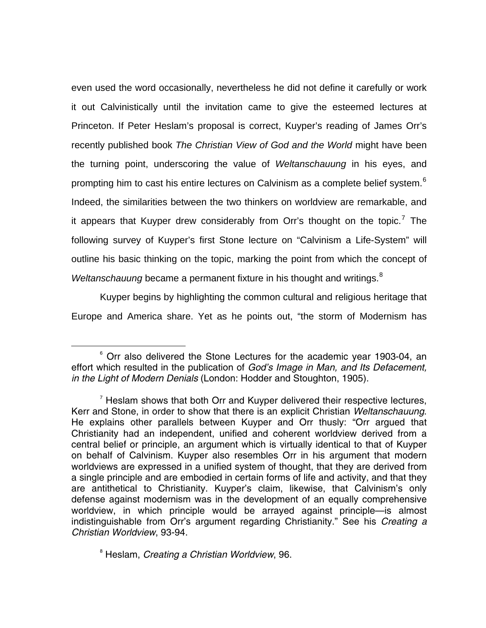even used the word occasionally, nevertheless he did not define it carefully or work it out Calvinistically until the invitation came to give the esteemed lectures at Princeton. If Peter Heslam's proposal is correct, Kuyper's reading of James Orr's recently published book *The Christian View of God and the World* might have been the turning point, underscoring the value of *Weltanschauung* in his eyes, and prompting him to cast his entire lectures on Calvinism as a complete belief system.<sup>[6](#page-2-0)</sup> Indeed, the similarities between the two thinkers on worldview are remarkable, and it appears that Kuyper drew considerably from Orr's thought on the topic.<sup>[7](#page-2-1)</sup> The following survey of Kuyper's first Stone lecture on "Calvinism a Life-System" will outline his basic thinking on the topic, marking the point from which the concept of Weltanschauung became a permanent fixture in his thought and writings.<sup>[8](#page-2-2)</sup>

Kuyper begins by highlighting the common cultural and religious heritage that Europe and America share. Yet as he points out, "the storm of Modernism has

<span id="page-2-0"></span><sup>6</sup> Orr also delivered the Stone Lectures for the academic year 1903-04, an effort which resulted in the publication of *God's Image in Man, and Its Defacement, in the Light of Modern Denials* (London: Hodder and Stoughton, 1905).

<span id="page-2-1"></span> $7$  Heslam shows that both Orr and Kuyper delivered their respective lectures, Kerr and Stone, in order to show that there is an explicit Christian *Weltanschauung*. He explains other parallels between Kuyper and Orr thusly: "Orr argued that Christianity had an independent, unified and coherent worldview derived from a central belief or principle, an argument which is virtually identical to that of Kuyper on behalf of Calvinism. Kuyper also resembles Orr in his argument that modern worldviews are expressed in a unified system of thought, that they are derived from a single principle and are embodied in certain forms of life and activity, and that they are antithetical to Christianity. Kuyper's claim, likewise, that Calvinism's only defense against modernism was in the development of an equally comprehensive worldview, in which principle would be arrayed against principle—is almost indistinguishable from Orr's argument regarding Christianity." See his *Creating a Christian Worldview*, 93-94.

<span id="page-2-2"></span><sup>8</sup> Heslam, *Creating a Christian Worldview*, 96.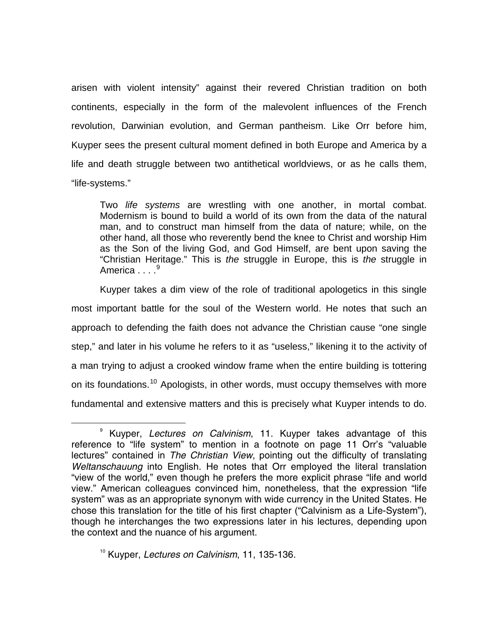arisen with violent intensity" against their revered Christian tradition on both continents, especially in the form of the malevolent influences of the French revolution, Darwinian evolution, and German pantheism. Like Orr before him, Kuyper sees the present cultural moment defined in both Europe and America by a life and death struggle between two antithetical worldviews, or as he calls them, "life-systems."

Two *life systems* are wrestling with one another, in mortal combat. Modernism is bound to build a world of its own from the data of the natural man, and to construct man himself from the data of nature; while, on the other hand, all those who reverently bend the knee to Christ and worship Him as the Son of the living God, and God Himself, are bent upon saving the "Christian Heritage." This is *the* struggle in Europe, this is *the* struggle in America  $\ldots$ <sup>[9](#page-3-0)</sup>

Kuyper takes a dim view of the role of traditional apologetics in this single most important battle for the soul of the Western world. He notes that such an approach to defending the faith does not advance the Christian cause "one single step," and later in his volume he refers to it as "useless," likening it to the activity of a man trying to adjust a crooked window frame when the entire building is tottering on its foundations.<sup>[10](#page-3-1)</sup> Apologists, in other words, must occupy themselves with more fundamental and extensive matters and this is precisely what Kuyper intends to do.

<span id="page-3-1"></span>10 Kuyper, *Lectures on Calvinism*, 11, 135-136.

<span id="page-3-0"></span><sup>9</sup> Kuyper, *Lectures on Calvinism*, 11. Kuyper takes advantage of this reference to "life system" to mention in a footnote on page 11 Orr's "valuable lectures" contained in *The Christian View*, pointing out the difficulty of translating *Weltanschauung* into English. He notes that Orr employed the literal translation "view of the world," even though he prefers the more explicit phrase "life and world view." American colleagues convinced him, nonetheless, that the expression "life system" was as an appropriate synonym with wide currency in the United States. He chose this translation for the title of his first chapter ("Calvinism as a Life-System"), though he interchanges the two expressions later in his lectures, depending upon the context and the nuance of his argument.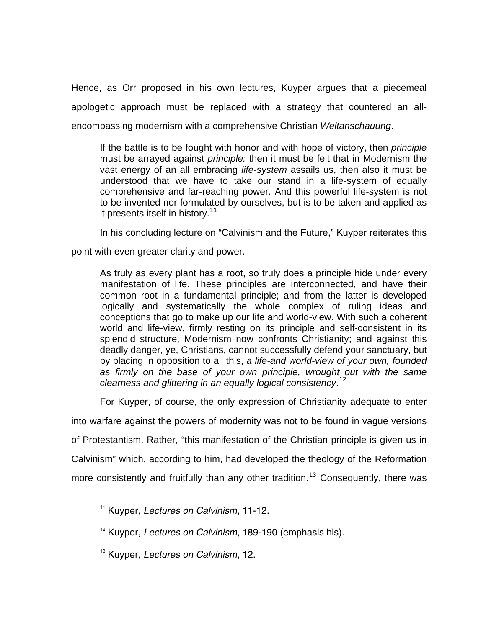Hence, as Orr proposed in his own lectures, Kuyper argues that a piecemeal apologetic approach must be replaced with a strategy that countered an allencompassing modernism with a comprehensive Christian *Weltanschauung*.

If the battle is to be fought with honor and with hope of victory, then *principle* must be arrayed against *principle:* then it must be felt that in Modernism the vast energy of an all embracing *life-system* assails us, then also it must be understood that we have to take our stand in a life-system of equally comprehensive and far-reaching power. And this powerful life-system is not to be invented nor formulated by ourselves, but is to be taken and applied as it presents itself in history.<sup>[11](#page-4-0)</sup>

In his concluding lecture on "Calvinism and the Future," Kuyper reiterates this

point with even greater clarity and power.

As truly as every plant has a root, so truly does a principle hide under every manifestation of life. These principles are interconnected, and have their common root in a fundamental principle; and from the latter is developed logically and systematically the whole complex of ruling ideas and conceptions that go to make up our life and world-view. With such a coherent world and life-view, firmly resting on its principle and self-consistent in its splendid structure, Modernism now confronts Christianity; and against this deadly danger, ye, Christians, cannot successfully defend your sanctuary, but by placing in opposition to all this, *a life-and world-view of your own, founded as firmly on the base of your own principle, wrought out with the same clearness and glittering in an equally logical consistency*. [12](#page-4-1)

For Kuyper, of course, the only expression of Christianity adequate to enter

into warfare against the powers of modernity was not to be found in vague versions of Protestantism. Rather, "this manifestation of the Christian principle is given us in Calvinism" which, according to him, had developed the theology of the Reformation more consistently and fruitfully than any other tradition.<sup>[13](#page-4-2)</sup> Consequently, there was

<span id="page-4-0"></span><sup>11</sup> Kuyper, *Lectures on Calvinism*, 11-12.

<span id="page-4-1"></span><sup>&</sup>lt;sup>12</sup> Kuyper, *Lectures on Calvinism*, 189-190 (emphasis his).

<span id="page-4-2"></span><sup>13</sup> Kuyper, *Lectures on Calvinism*, 12.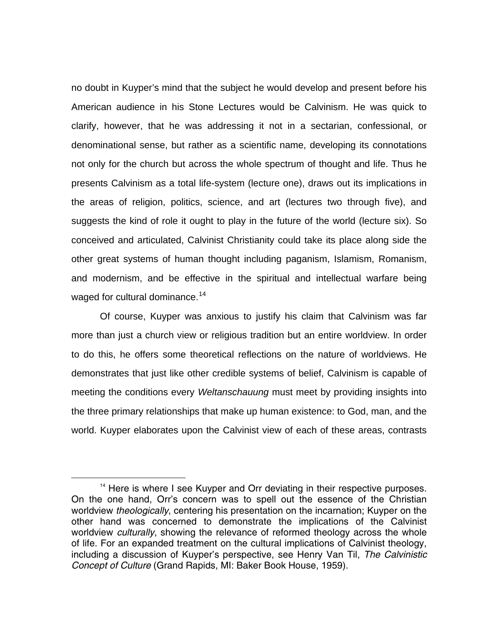no doubt in Kuyper's mind that the subject he would develop and present before his American audience in his Stone Lectures would be Calvinism. He was quick to clarify, however, that he was addressing it not in a sectarian, confessional, or denominational sense, but rather as a scientific name, developing its connotations not only for the church but across the whole spectrum of thought and life. Thus he presents Calvinism as a total life-system (lecture one), draws out its implications in the areas of religion, politics, science, and art (lectures two through five), and suggests the kind of role it ought to play in the future of the world (lecture six). So conceived and articulated, Calvinist Christianity could take its place along side the other great systems of human thought including paganism, Islamism, Romanism, and modernism, and be effective in the spiritual and intellectual warfare being waged for cultural dominance.<sup>[14](#page-5-0)</sup>

Of course, Kuyper was anxious to justify his claim that Calvinism was far more than just a church view or religious tradition but an entire worldview. In order to do this, he offers some theoretical reflections on the nature of worldviews. He demonstrates that just like other credible systems of belief, Calvinism is capable of meeting the conditions every *Weltanschauung* must meet by providing insights into the three primary relationships that make up human existence: to God, man, and the world. Kuyper elaborates upon the Calvinist view of each of these areas, contrasts

<span id="page-5-0"></span> $14$  Here is where I see Kuyper and Orr deviating in their respective purposes. On the one hand, Orr's concern was to spell out the essence of the Christian worldview *theologically*, centering his presentation on the incarnation; Kuyper on the other hand was concerned to demonstrate the implications of the Calvinist worldview *culturally*, showing the relevance of reformed theology across the whole of life. For an expanded treatment on the cultural implications of Calvinist theology, including a discussion of Kuyper's perspective, see Henry Van Til, *The Calvinistic Concept of Culture* (Grand Rapids, MI: Baker Book House, 1959).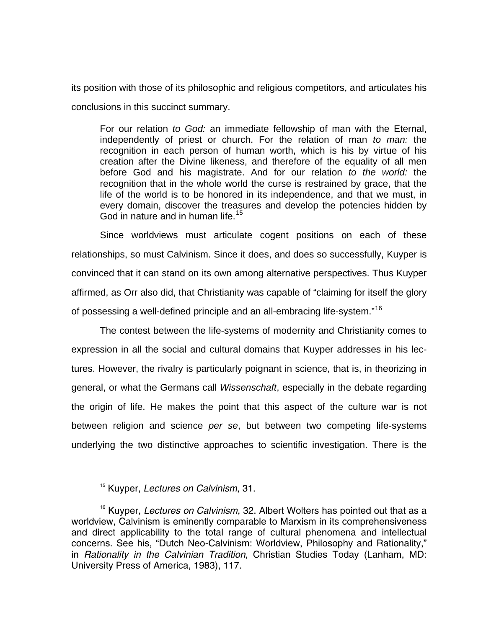its position with those of its philosophic and religious competitors, and articulates his conclusions in this succinct summary.

For our relation *to God:* an immediate fellowship of man with the Eternal, independently of priest or church. For the relation of man *to man:* the recognition in each person of human worth, which is his by virtue of his creation after the Divine likeness, and therefore of the equality of all men before God and his magistrate. And for our relation *to the world:* the recognition that in the whole world the curse is restrained by grace, that the life of the world is to be honored in its independence, and that we must, in every domain, discover the treasures and develop the potencies hidden by God in nature and in human life.<sup>[15](#page-6-0)</sup>

Since worldviews must articulate cogent positions on each of these relationships, so must Calvinism. Since it does, and does so successfully, Kuyper is convinced that it can stand on its own among alternative perspectives. Thus Kuyper affirmed, as Orr also did, that Christianity was capable of "claiming for itself the glory of possessing a well-defined principle and an all-embracing life-system."[16](#page-6-1)

The contest between the life-systems of modernity and Christianity comes to expression in all the social and cultural domains that Kuyper addresses in his lectures. However, the rivalry is particularly poignant in science, that is, in theorizing in general, or what the Germans call *Wissenschaft*, especially in the debate regarding the origin of life. He makes the point that this aspect of the culture war is not between religion and science *per se*, but between two competing life-systems underlying the two distinctive approaches to scientific investigation. There is the

<sup>15</sup> Kuyper, *Lectures on Calvinism*, 31.

<span id="page-6-1"></span><span id="page-6-0"></span><sup>&</sup>lt;sup>16</sup> Kuyper, *Lectures on Calvinism*, 32. Albert Wolters has pointed out that as a worldview, Calvinism is eminently comparable to Marxism in its comprehensiveness and direct applicability to the total range of cultural phenomena and intellectual concerns. See his, "Dutch Neo-Calvinism: Worldview, Philosophy and Rationality," in *Rationality in the Calvinian Tradition*, Christian Studies Today (Lanham, MD: University Press of America, 1983), 117.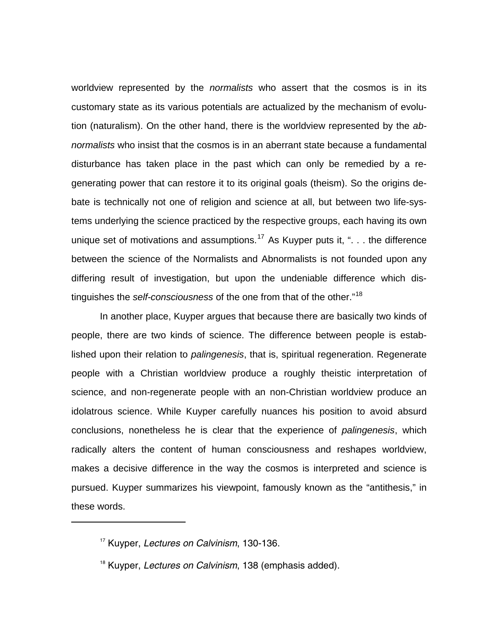worldview represented by the *normalists* who assert that the cosmos is in its customary state as its various potentials are actualized by the mechanism of evolution (naturalism). On the other hand, there is the worldview represented by the *abnormalists* who insist that the cosmos is in an aberrant state because a fundamental disturbance has taken place in the past which can only be remedied by a regenerating power that can restore it to its original goals (theism). So the origins debate is technically not one of religion and science at all, but between two life-systems underlying the science practiced by the respective groups, each having its own unique set of motivations and assumptions.<sup>[17](#page-7-0)</sup> As Kuyper puts it, "... the difference between the science of the Normalists and Abnormalists is not founded upon any differing result of investigation, but upon the undeniable difference which distinguishes the *self-consciousness* of the one from that of the other."[18](#page-7-1)

In another place, Kuyper argues that because there are basically two kinds of people, there are two kinds of science. The difference between people is established upon their relation to *palingenesis*, that is, spiritual regeneration. Regenerate people with a Christian worldview produce a roughly theistic interpretation of science, and non-regenerate people with an non-Christian worldview produce an idolatrous science. While Kuyper carefully nuances his position to avoid absurd conclusions, nonetheless he is clear that the experience of *palingenesis*, which radically alters the content of human consciousness and reshapes worldview, makes a decisive difference in the way the cosmos is interpreted and science is pursued. Kuyper summarizes his viewpoint, famously known as the "antithesis," in these words.

<span id="page-7-0"></span><sup>17</sup> Kuyper, *Lectures on Calvinism*, 130-136.

<span id="page-7-1"></span><sup>18</sup> Kuyper, *Lectures on Calvinism*, 138 (emphasis added).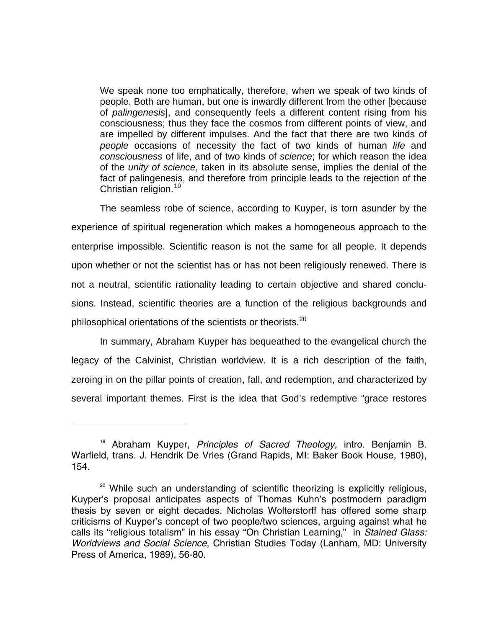We speak none too emphatically, therefore, when we speak of two kinds of people. Both are human, but one is inwardly different from the other [because of *palingenesis*], and consequently feels a different content rising from his consciousness; thus they face the cosmos from different points of view, and are impelled by different impulses. And the fact that there are two kinds of *people* occasions of necessity the fact of two kinds of human *life* and *consciousness* of life, and of two kinds of *science*; for which reason the idea of the *unity of science*, taken in its absolute sense, implies the denial of the fact of palingenesis, and therefore from principle leads to the rejection of the Christian religion.<sup>[19](#page-8-0)</sup>

The seamless robe of science, according to Kuyper, is torn asunder by the experience of spiritual regeneration which makes a homogeneous approach to the enterprise impossible. Scientific reason is not the same for all people. It depends upon whether or not the scientist has or has not been religiously renewed. There is not a neutral, scientific rationality leading to certain objective and shared conclusions. Instead, scientific theories are a function of the religious backgrounds and philosophical orientations of the scientists or theorists.[20](#page-8-1)

In summary, Abraham Kuyper has bequeathed to the evangelical church the legacy of the Calvinist, Christian worldview. It is a rich description of the faith, zeroing in on the pillar points of creation, fall, and redemption, and characterized by several important themes. First is the idea that God's redemptive "grace restores

<span id="page-8-0"></span><sup>19</sup> Abraham Kuyper, *Principles of Sacred Theology*, intro. Benjamin B. Warfield, trans. J. Hendrik De Vries (Grand Rapids, MI: Baker Book House, 1980), 154.

<span id="page-8-1"></span><sup>&</sup>lt;sup>20</sup> While such an understanding of scientific theorizing is explicitly religious, Kuyper's proposal anticipates aspects of Thomas Kuhn's postmodern paradigm thesis by seven or eight decades. Nicholas Wolterstorff has offered some sharp criticisms of Kuyper's concept of two people/two sciences, arguing against what he calls its "religious totalism" in his essay "On Christian Learning," in *Stained Glass: Worldviews and Social Science*, Christian Studies Today (Lanham, MD: University Press of America, 1989), 56-80.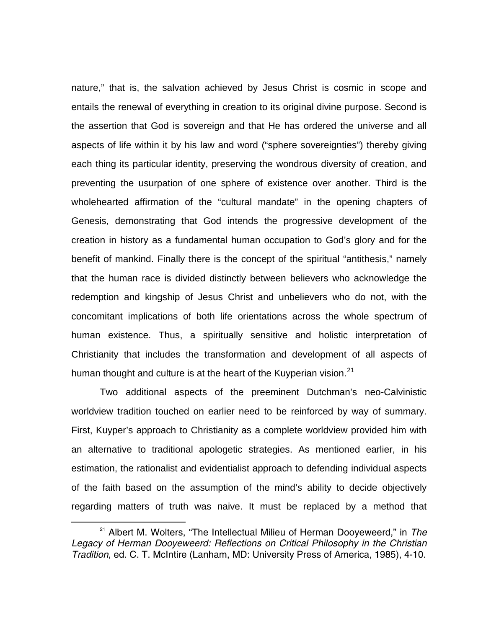nature," that is, the salvation achieved by Jesus Christ is cosmic in scope and entails the renewal of everything in creation to its original divine purpose. Second is the assertion that God is sovereign and that He has ordered the universe and all aspects of life within it by his law and word ("sphere sovereignties") thereby giving each thing its particular identity, preserving the wondrous diversity of creation, and preventing the usurpation of one sphere of existence over another. Third is the wholehearted affirmation of the "cultural mandate" in the opening chapters of Genesis, demonstrating that God intends the progressive development of the creation in history as a fundamental human occupation to God's glory and for the benefit of mankind. Finally there is the concept of the spiritual "antithesis," namely that the human race is divided distinctly between believers who acknowledge the redemption and kingship of Jesus Christ and unbelievers who do not, with the concomitant implications of both life orientations across the whole spectrum of human existence. Thus, a spiritually sensitive and holistic interpretation of Christianity that includes the transformation and development of all aspects of human thought and culture is at the heart of the Kuyperian vision. $^{21}$  $^{21}$  $^{21}$ 

Two additional aspects of the preeminent Dutchman's neo-Calvinistic worldview tradition touched on earlier need to be reinforced by way of summary. First, Kuyper's approach to Christianity as a complete worldview provided him with an alternative to traditional apologetic strategies. As mentioned earlier, in his estimation, the rationalist and evidentialist approach to defending individual aspects of the faith based on the assumption of the mind's ability to decide objectively regarding matters of truth was naive. It must be replaced by a method that

<span id="page-9-0"></span><sup>21</sup> Albert M. Wolters, "The Intellectual Milieu of Herman Dooyeweerd," in *The Legacy of Herman Dooyeweerd: Reflections on Critical Philosophy in the Christian Tradition*, ed. C. T. McIntire (Lanham, MD: University Press of America, 1985), 4-10.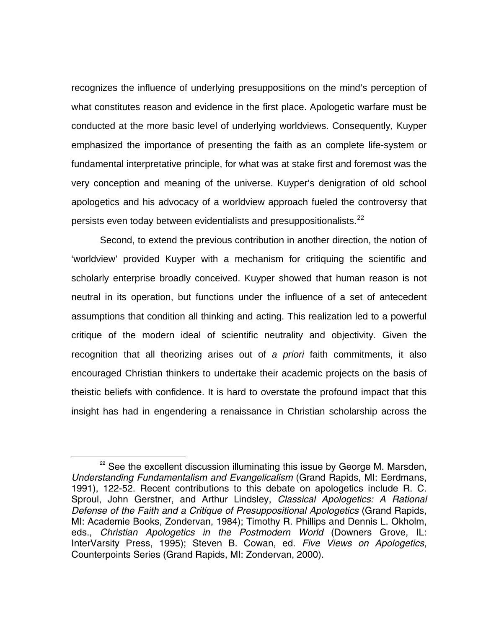recognizes the influence of underlying presuppositions on the mind's perception of what constitutes reason and evidence in the first place. Apologetic warfare must be conducted at the more basic level of underlying worldviews. Consequently, Kuyper emphasized the importance of presenting the faith as an complete life-system or fundamental interpretative principle, for what was at stake first and foremost was the very conception and meaning of the universe. Kuyper's denigration of old school apologetics and his advocacy of a worldview approach fueled the controversy that persists even today between evidentialists and presuppositionalists.<sup>[22](#page-10-0)</sup>

Second, to extend the previous contribution in another direction, the notion of 'worldview' provided Kuyper with a mechanism for critiquing the scientific and scholarly enterprise broadly conceived. Kuyper showed that human reason is not neutral in its operation, but functions under the influence of a set of antecedent assumptions that condition all thinking and acting. This realization led to a powerful critique of the modern ideal of scientific neutrality and objectivity. Given the recognition that all theorizing arises out of *a priori* faith commitments, it also encouraged Christian thinkers to undertake their academic projects on the basis of theistic beliefs with confidence. It is hard to overstate the profound impact that this insight has had in engendering a renaissance in Christian scholarship across the

l

<span id="page-10-0"></span> $22$  See the excellent discussion illuminating this issue by George M. Marsden, *Understanding Fundamentalism and Evangelicalism* (Grand Rapids, MI: Eerdmans, 1991), 122-52. Recent contributions to this debate on apologetics include R. C. Sproul, John Gerstner, and Arthur Lindsley, *Classical Apologetics: A Rational Defense of the Faith and a Critique of Presuppositional Apologetics* (Grand Rapids, MI: Academie Books, Zondervan, 1984); Timothy R. Phillips and Dennis L. Okholm, eds., *Christian Apologetics in the Postmodern World* (Downers Grove, IL: InterVarsity Press, 1995); Steven B. Cowan, ed. *Five Views on Apologetics*, Counterpoints Series (Grand Rapids, MI: Zondervan, 2000).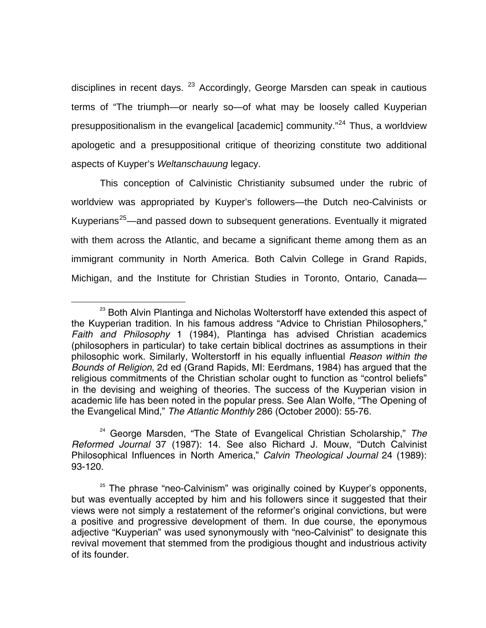disciplines in recent days.  $23$  Accordingly, George Marsden can speak in cautious terms of "The triumph—or nearly so—of what may be loosely called Kuyperian presuppositionalism in the evangelical [academic] community."[24](#page-11-1) Thus, a worldview apologetic and a presuppositional critique of theorizing constitute two additional aspects of Kuyper's *Weltanschauung* legacy.

This conception of Calvinistic Christianity subsumed under the rubric of worldview was appropriated by Kuyper's followers—the Dutch neo-Calvinists or Kuyperians<sup>[25](#page-11-2)</sup>—and passed down to subsequent generations. Eventually it migrated with them across the Atlantic, and became a significant theme among them as an immigrant community in North America. Both Calvin College in Grand Rapids, Michigan, and the Institute for Christian Studies in Toronto, Ontario, Canada—

<span id="page-11-1"></span>24 George Marsden, "The State of Evangelical Christian Scholarship," *The Reformed Journal* 37 (1987): 14. See also Richard J. Mouw, "Dutch Calvinist Philosophical Influences in North America," *Calvin Theological Journal* 24 (1989): 93-120.

<span id="page-11-0"></span>l <sup>23</sup> Both Alvin Plantinga and Nicholas Wolterstorff have extended this aspect of the Kuyperian tradition. In his famous address "Advice to Christian Philosophers," *Faith and Philosophy* 1 (1984), Plantinga has advised Christian academics (philosophers in particular) to take certain biblical doctrines as assumptions in their philosophic work. Similarly, Wolterstorff in his equally influential *Reason within the Bounds of Religion*, 2d ed (Grand Rapids, MI: Eerdmans, 1984) has argued that the religious commitments of the Christian scholar ought to function as "control beliefs" in the devising and weighing of theories. The success of the Kuyperian vision in academic life has been noted in the popular press. See Alan Wolfe, "The Opening of the Evangelical Mind," *The Atlantic Monthly* 286 (October 2000): 55-76.

<span id="page-11-2"></span><sup>&</sup>lt;sup>25</sup> The phrase "neo-Calvinism" was originally coined by Kuyper's opponents, but was eventually accepted by him and his followers since it suggested that their views were not simply a restatement of the reformer's original convictions, but were a positive and progressive development of them. In due course, the eponymous adjective "Kuyperian" was used synonymously with "neo-Calvinist" to designate this revival movement that stemmed from the prodigious thought and industrious activity of its founder.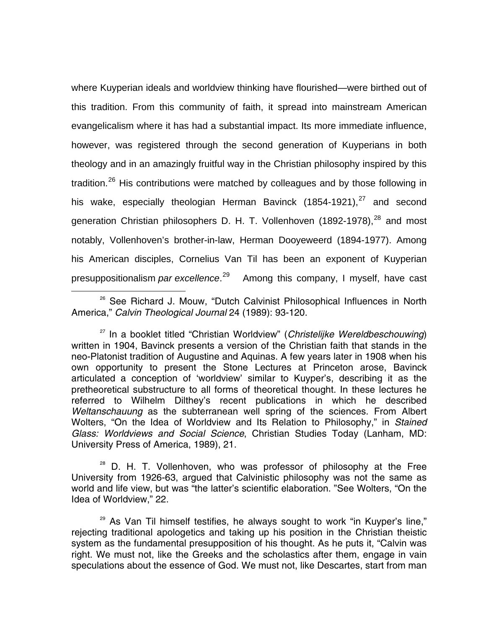where Kuyperian ideals and worldview thinking have flourished—were birthed out of this tradition. From this community of faith, it spread into mainstream American evangelicalism where it has had a substantial impact. Its more immediate influence, however, was registered through the second generation of Kuyperians in both theology and in an amazingly fruitful way in the Christian philosophy inspired by this tradition.<sup>[26](#page-12-0)</sup> His contributions were matched by colleagues and by those following in his wake, especially theologian Herman Bavinck (1854-1921),  $27$  and second generation Christian philosophers D. H. T. Vollenhoven  $(1892-1978)$ ,  $^{28}$  $^{28}$  $^{28}$  and most notably, Vollenhoven's brother-in-law, Herman Dooyeweerd (1894-1977). Among his American disciples, Cornelius Van Til has been an exponent of Kuyperian presuppositionalism *par excellence*. [29](#page-12-3) Among this company, I myself, have cast

l

<span id="page-12-2"></span> $28$  D. H. T. Vollenhoven, who was professor of philosophy at the Free University from 1926-63, argued that Calvinistic philosophy was not the same as world and life view, but was "the latter's scientific elaboration. "See Wolters, "On the Idea of Worldview," 22.

<span id="page-12-3"></span> $29$  As Van Til himself testifies, he always sought to work "in Kuyper's line," rejecting traditional apologetics and taking up his position in the Christian theistic system as the fundamental presupposition of his thought. As he puts it, "Calvin was right. We must not, like the Greeks and the scholastics after them, engage in vain speculations about the essence of God. We must not, like Descartes, start from man

<span id="page-12-0"></span><sup>&</sup>lt;sup>26</sup> See Richard J. Mouw, "Dutch Calvinist Philosophical Influences in North America," *Calvin Theological Journal* 24 (1989): 93-120.

<span id="page-12-1"></span><sup>27</sup> In a booklet titled "Christian Worldview" (*Christelijke Wereldbeschouwing*) written in 1904, Bavinck presents a version of the Christian faith that stands in the neo-Platonist tradition of Augustine and Aquinas. A few years later in 1908 when his own opportunity to present the Stone Lectures at Princeton arose, Bavinck articulated a conception of 'worldview' similar to Kuyper's, describing it as the pretheoretical substructure to all forms of theoretical thought. In these lectures he referred to Wilhelm Dilthey's recent publications in which he described *Weltanschauung* as the subterranean well spring of the sciences. From Albert Wolters, "On the Idea of Worldview and Its Relation to Philosophy," in *Stained Glass: Worldviews and Social Science*, Christian Studies Today (Lanham, MD: University Press of America, 1989), 21.